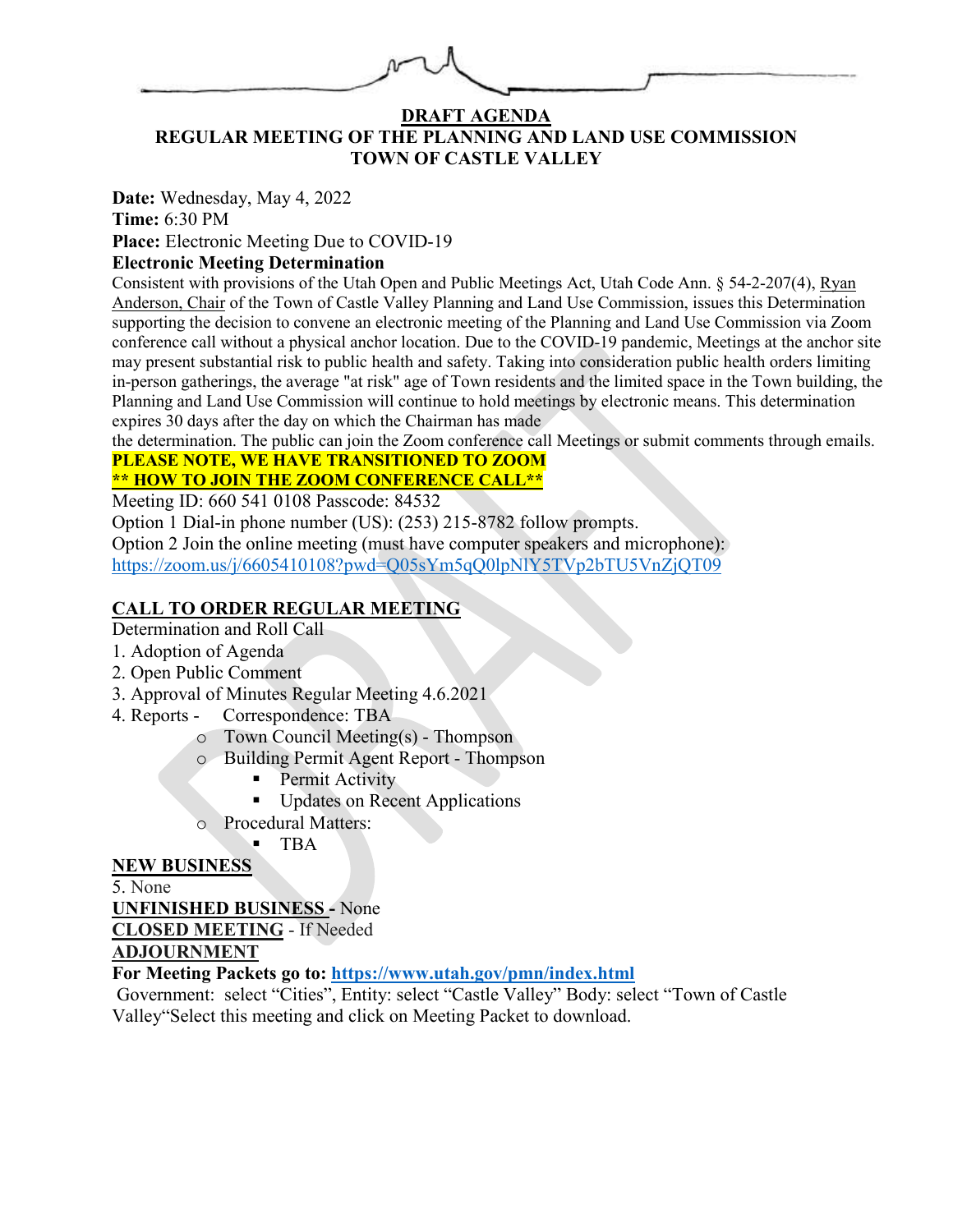#### **DRAFT AGENDA REGULAR MEETING OF THE PLANNING AND LAND USE COMMISSION TOWN OF CASTLE VALLEY**

**Date:** Wednesday, May 4, 2022 **Time:** 6:30 PM

**Place:** Electronic Meeting Due to COVID-19

### **Electronic Meeting Determination**

Consistent with provisions of the Utah Open and Public Meetings Act, Utah Code Ann. § 54-2-207(4), Ryan Anderson, Chair of the Town of Castle Valley Planning and Land Use Commission, issues this Determination supporting the decision to convene an electronic meeting of the Planning and Land Use Commission via Zoom conference call without a physical anchor location. Due to the COVID-19 pandemic, Meetings at the anchor site may present substantial risk to public health and safety. Taking into consideration public health orders limiting in-person gatherings, the average "at risk" age of Town residents and the limited space in the Town building, the Planning and Land Use Commission will continue to hold meetings by electronic means. This determination expires 30 days after the day on which the Chairman has made

the determination. The public can join the Zoom conference call Meetings or submit comments through emails.

#### **PLEASE NOTE, WE HAVE TRANSITIONED TO ZOOM \*\* HOW TO JOIN THE ZOOM CONFERENCE CALL\*\***

Meeting ID: 660 541 0108 Passcode: 84532

Option 1 Dial-in phone number (US): (253) 215-8782 follow prompts.

Option 2 Join the online meeting (must have computer speakers and microphone): <https://zoom.us/j/6605410108?pwd=Q05sYm5qQ0lpNlY5TVp2bTU5VnZjQT09>

## **CALL TO ORDER REGULAR MEETING**

Determination and Roll Call

- 1. Adoption of Agenda
- 2. Open Public Comment
- 3. Approval of Minutes Regular Meeting 4.6.2021
- 4. Reports Correspondence: TBA
	- o Town Council Meeting(s) Thompson
	- o Building Permit Agent Report Thompson
		- **Permit Activity**
		- Updates on Recent Applications
	- o Procedural Matters:
		- TBA

#### **NEW BUSINESS**

5. None **UNFINISHED BUSINESS -** None **CLOSED MEETING** - If Needed

**ADJOURNMENT** 

**For Meeting Packets go to:<https://www.utah.gov/pmn/index.html>**

Government: select "Cities", Entity: select "Castle Valley" Body: select "Town of Castle Valley"Select this meeting and click on Meeting Packet to download.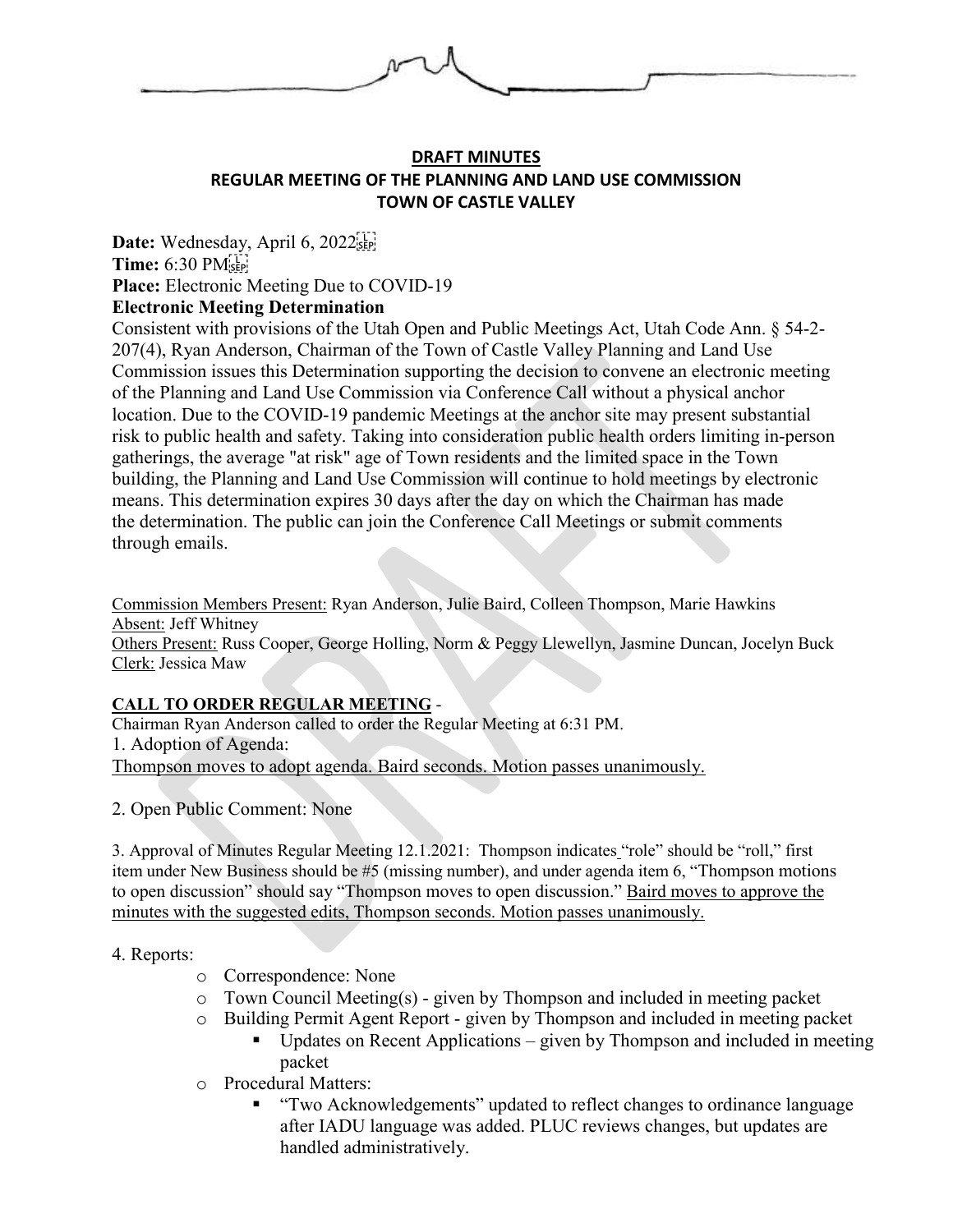

#### **DRAFT MINUTES REGULAR MEETING OF THE PLANNING AND LAND USE COMMISSION TOWN OF CASTLE VALLEY**

Date: Wednesday, April 6, 2022<sup>[17]</sup> **Time:** 6:30 PM **Place:** Electronic Meeting Due to COVID-19 **Electronic Meeting Determination**

Consistent with provisions of the Utah Open and Public Meetings Act, Utah Code Ann. § 54-2- 207(4), Ryan Anderson, Chairman of the Town of Castle Valley Planning and Land Use Commission issues this Determination supporting the decision to convene an electronic meeting of the Planning and Land Use Commission via Conference Call without a physical anchor location. Due to the COVID-19 pandemic Meetings at the anchor site may present substantial risk to public health and safety. Taking into consideration public health orders limiting in-person gatherings, the average "at risk" age of Town residents and the limited space in the Town building, the Planning and Land Use Commission will continue to hold meetings by electronic means. This determination expires 30 days after the day on which the Chairman has made the determination. The public can join the Conference Call Meetings or submit comments through emails.

Commission Members Present: Ryan Anderson, Julie Baird, Colleen Thompson, Marie Hawkins Absent: Jeff Whitney Others Present: Russ Cooper, George Holling, Norm & Peggy Llewellyn, Jasmine Duncan, Jocelyn Buck Clerk: Jessica Maw

#### **CALL TO ORDER REGULAR MEETING** -

Chairman Ryan Anderson called to order the Regular Meeting at 6:31 PM. 1. Adoption of Agenda: Thompson moves to adopt agenda. Baird seconds. Motion passes unanimously.

2. Open Public Comment: None

3. Approval of Minutes Regular Meeting 12.1.2021: Thompson indicates "role" should be "roll," first item under New Business should be #5 (missing number), and under agenda item 6, "Thompson motions to open discussion" should say "Thompson moves to open discussion." Baird moves to approve the minutes with the suggested edits, Thompson seconds. Motion passes unanimously.

#### 4. Reports:

- o Correspondence: None
- o Town Council Meeting(s) given by Thompson and included in meeting packet
- o Building Permit Agent Report given by Thompson and included in meeting packet
	- $\blacksquare$  Updates on Recent Applications given by Thompson and included in meeting packet
- o Procedural Matters:
	- **TWO Acknowledgements**" updated to reflect changes to ordinance language after IADU language was added. PLUC reviews changes, but updates are handled administratively.